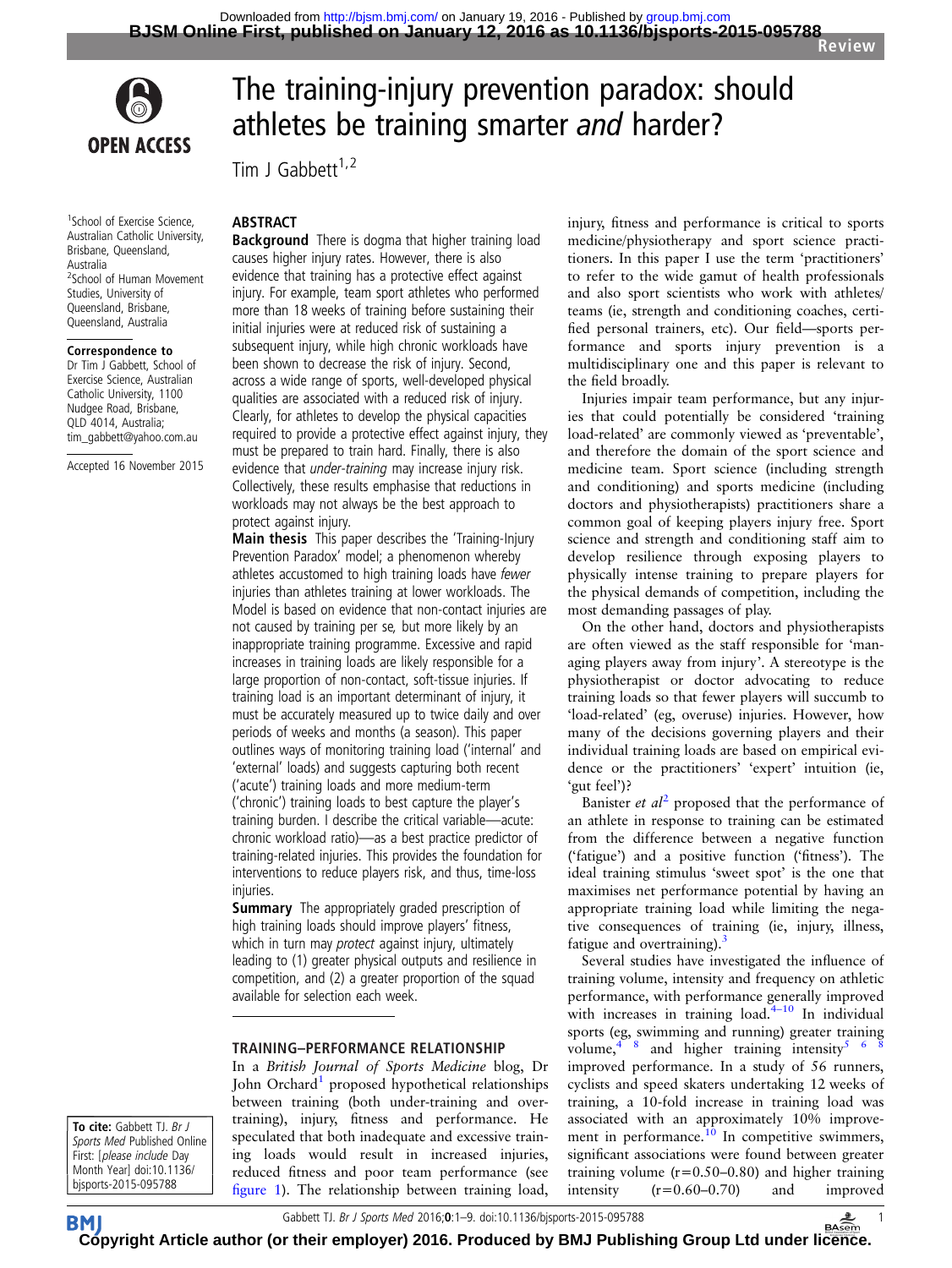

<sup>1</sup>School of Exercise Science, Australian Catholic University, Brisbane, Queensland, Australia 2 School of Human Movement Studies, University of Queensland, Brisbane, Queensland, Australia

#### Correspondence to

Dr Tim J Gabbett, School of Exercise Science, Australian Catholic University, 1100 Nudgee Road, Brisbane, QLD 4014, Australia; tim\_gabbett@yahoo.com.au

Accepted 16 November 2015

# The training-injury prevention paradox: should athletes be training smarter and harder?

Tim J Gabbett $1,2$ 

#### ABSTRACT

**Background** There is dogma that higher training load causes higher injury rates. However, there is also evidence that training has a protective effect against injury. For example, team sport athletes who performed more than 18 weeks of training before sustaining their initial injuries were at reduced risk of sustaining a subsequent injury, while high chronic workloads have been shown to decrease the risk of injury. Second, across a wide range of sports, well-developed physical qualities are associated with a reduced risk of injury. Clearly, for athletes to develop the physical capacities required to provide a protective effect against injury, they must be prepared to train hard. Finally, there is also evidence that under-training may increase injury risk. Collectively, these results emphasise that reductions in workloads may not always be the best approach to protect against injury.

Main thesis This paper describes the 'Training-Injury Prevention Paradox' model; a phenomenon whereby athletes accustomed to high training loads have fewer injuries than athletes training at lower workloads. The Model is based on evidence that non-contact injuries are not caused by training per se, but more likely by an inappropriate training programme. Excessive and rapid increases in training loads are likely responsible for a large proportion of non-contact, soft-tissue injuries. If training load is an important determinant of injury, it must be accurately measured up to twice daily and over periods of weeks and months (a season). This paper outlines ways of monitoring training load ('internal' and 'external' loads) and suggests capturing both recent ('acute') training loads and more medium-term ('chronic') training loads to best capture the player's training burden. I describe the critical variable—acute: chronic workload ratio)—as a best practice predictor of training-related injuries. This provides the foundation for interventions to reduce players risk, and thus, time-loss injuries.

**Summary** The appropriately graded prescription of high training loads should improve players' fitness, which in turn may *protect* against injury, ultimately leading to (1) greater physical outputs and resilience in competition, and (2) a greater proportion of the squad available for selection each week.

#### TRAINING–PERFORMANCE RELATIONSHIP

In a British Journal of Sports Medicine blog, Dr John Orchard<sup>1</sup> proposed hypothetical relationships between training (both under-training and overtraining), injury, fitness and performance. He speculated that both inadequate and excessive training loads would result in increased injuries, reduced fitness and poor team performance (see fi[gure 1](#page-1-0)). The relationship between training load,

injury, fitness and performance is critical to sports medicine/physiotherapy and sport science practitioners. In this paper I use the term 'practitioners' to refer to the wide gamut of health professionals and also sport scientists who work with athletes/ teams (ie, strength and conditioning coaches, certified personal trainers, etc). Our field—sports performance and sports injury prevention is a multidisciplinary one and this paper is relevant to the field broadly.

Injuries impair team performance, but any injuries that could potentially be considered 'training load-related' are commonly viewed as 'preventable', and therefore the domain of the sport science and medicine team. Sport science (including strength and conditioning) and sports medicine (including doctors and physiotherapists) practitioners share a common goal of keeping players injury free. Sport science and strength and conditioning staff aim to develop resilience through exposing players to physically intense training to prepare players for the physical demands of competition, including the most demanding passages of play.

On the other hand, doctors and physiotherapists are often viewed as the staff responsible for 'managing players away from injury'. A stereotype is the physiotherapist or doctor advocating to reduce training loads so that fewer players will succumb to 'load-related' (eg, overuse) injuries. However, how many of the decisions governing players and their individual training loads are based on empirical evidence or the practitioners' 'expert' intuition (ie, 'gut feel')?

Banister *et al*<sup>[2](#page-7-0)</sup> proposed that the performance of an athlete in response to training can be estimated from the difference between a negative function ('fatigue') and a positive function ('fitness'). The ideal training stimulus 'sweet spot' is the one that maximises net performance potential by having an appropriate training load while limiting the negative consequences of training (ie, injury, illness, fatigue and overtraining). $3$ 

Several studies have investigated the influence of training volume, intensity and frequency on athletic performance, with performance generally improved with increases in training  $load.<sup>4-10</sup>$  $load.<sup>4-10</sup>$  $load.<sup>4-10</sup>$  In individual sports (eg, swimming and running) greater training volume,  $4 \times 8$  and higher training intensity  $5 \times 6$ improved performance. In a study of 56 runners, cyclists and speed skaters undertaking 12 weeks of training, a 10-fold increase in training load was associated with an approximately 10% improve-ment in performance.<sup>[10](#page-7-0)</sup> In competitive swimmers, significant associations were found between greater training volume  $(r=0.50-0.80)$  and higher training intensity (r=0.60–0.70) and improved

To cite: Gabbett TJ. Br J Sports Med Published Online First: [please include Day Month Year] doi:10.1136/ bjsports-2015-095788

**BM** 

**[Cop](http://bjsm.bmj.com)yright Article author (or their employer) 2016. Produced by BMJ Publishing Group Ltd under li[cenc](http://www.basem.co.uk/)e.**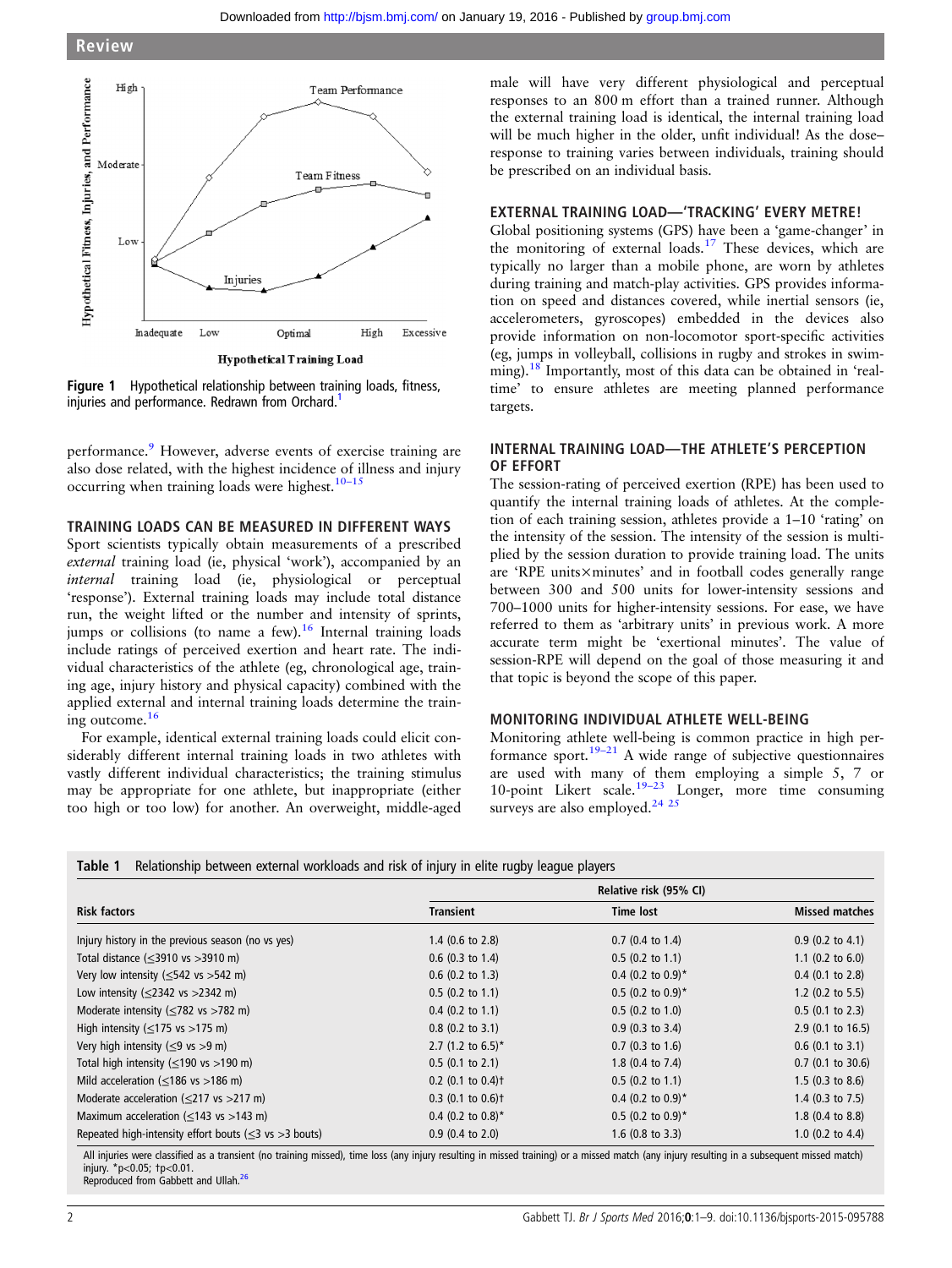<span id="page-1-0"></span>

Figure 1 Hypothetical relationship between training loads, fitness, injuries and performance. Redrawn from Orchard.<sup>1</sup>

performance.<sup>[9](#page-7-0)</sup> However, adverse events of exercise training are also dose related, with the highest incidence of illness and injury occurring when training loads were highest.<sup>10–15</sup>

#### TRAINING LOADS CAN BE MEASURED IN DIFFERENT WAYS

Sport scientists typically obtain measurements of a prescribed external training load (ie, physical 'work'), accompanied by an internal training load (ie, physiological or perceptual 'response'). External training loads may include total distance run, the weight lifted or the number and intensity of sprints, jumps or collisions (to name a few).<sup>[16](#page-7-0)</sup> Internal training loads include ratings of perceived exertion and heart rate. The individual characteristics of the athlete (eg, chronological age, training age, injury history and physical capacity) combined with the applied external and internal training loads determine the training outcome.<sup>16</sup>

For example, identical external training loads could elicit considerably different internal training loads in two athletes with vastly different individual characteristics; the training stimulus may be appropriate for one athlete, but inappropriate (either too high or too low) for another. An overweight, middle-aged

male will have very different physiological and perceptual responses to an 800 m effort than a trained runner. Although the external training load is identical, the internal training load will be much higher in the older, unfit individual! As the doseresponse to training varies between individuals, training should be prescribed on an individual basis.

#### EXTERNAL TRAINING LOAD—'TRACKING' EVERY METRE!

Global positioning systems (GPS) have been a 'game-changer' in the monitoring of external loads.[17](#page-7-0) These devices, which are typically no larger than a mobile phone, are worn by athletes during training and match-play activities. GPS provides information on speed and distances covered, while inertial sensors (ie, accelerometers, gyroscopes) embedded in the devices also provide information on non-locomotor sport-specific activities (eg, jumps in volleyball, collisions in rugby and strokes in swim-ming).<sup>[18](#page-7-0)</sup> Importantly, most of this data can be obtained in 'realtime' to ensure athletes are meeting planned performance targets.

#### INTERNAL TRAINING LOAD—THE ATHLETE'S PERCEPTION OF EFFORT

The session-rating of perceived exertion (RPE) has been used to quantify the internal training loads of athletes. At the completion of each training session, athletes provide a 1–10 'rating' on the intensity of the session. The intensity of the session is multiplied by the session duration to provide training load. The units are 'RPE units×minutes' and in football codes generally range between 300 and 500 units for lower-intensity sessions and 700–1000 units for higher-intensity sessions. For ease, we have referred to them as 'arbitrary units' in previous work. A more accurate term might be 'exertional minutes'. The value of session-RPE will depend on the goal of those measuring it and that topic is beyond the scope of this paper.

# MONITORING INDIVIDUAL ATHLETE WELL-BEING

Monitoring athlete well-being is common practice in high performance sport.<sup>19–21</sup> A wide range of subjective questionnaires are used with many of them employing a simple 5, 7 or 10-point Likert scale.<sup>19–[23](#page-7-0)</sup> Longer, more time consuming surveys are also employed.<sup>24</sup> <sup>25</sup>

| Table 1 |  | Relationship between external workloads and risk of injury in elite rugby league players |  |  |  |  |  |  |
|---------|--|------------------------------------------------------------------------------------------|--|--|--|--|--|--|
|---------|--|------------------------------------------------------------------------------------------|--|--|--|--|--|--|

|                                                               | Relative risk (95% CI)          |                                 |                             |  |
|---------------------------------------------------------------|---------------------------------|---------------------------------|-----------------------------|--|
| <b>Risk factors</b>                                           | <b>Transient</b>                | <b>Time lost</b>                | <b>Missed matches</b>       |  |
| Injury history in the previous season (no vs yes)             | $1.4$ (0.6 to 2.8)              | $0.7$ (0.4 to 1.4)              | $0.9$ (0.2 to 4.1)          |  |
| Total distance $(\leq 3910 \text{ vs } >3910 \text{ m})$      | $0.6$ (0.3 to 1.4)              | $0.5$ (0.2 to 1.1)              | 1.1 $(0.2 \text{ to } 6.0)$ |  |
| Very low intensity ( $\leq$ 542 vs $>$ 542 m)                 | $0.6$ (0.2 to 1.3)              | $0.4$ (0.2 to 0.9) <sup>*</sup> | $0.4$ (0.1 to 2.8)          |  |
| Low intensity ( $\leq$ 2342 vs $>$ 2342 m)                    | $0.5$ (0.2 to 1.1)              | $0.5$ (0.2 to 0.9) <sup>*</sup> | 1.2 $(0.2 \text{ to } 5.5)$ |  |
| Moderate intensity ( $\leq$ 782 vs >782 m)                    | $0.4$ (0.2 to 1.1)              | $0.5$ (0.2 to 1.0)              | $0.5$ (0.1 to 2.3)          |  |
| High intensity ( $\leq$ 175 vs >175 m)                        | $0.8$ (0.2 to 3.1)              | $0.9$ (0.3 to 3.4)              | $2.9$ (0.1 to 16.5)         |  |
| Very high intensity ( $\leq$ 9 vs >9 m)                       | 2.7 (1.2 to 6.5)*               | $0.7$ (0.3 to 1.6)              | $0.6$ (0.1 to 3.1)          |  |
| Total high intensity ( $\leq$ 190 vs >190 m)                  | $0.5$ (0.1 to 2.1)              | 1.8 $(0.4 \text{ to } 7.4)$     | $0.7$ (0.1 to 30.6)         |  |
| Mild acceleration ( $\leq$ 186 vs >186 m)                     | $0.2$ (0.1 to 0.4) <sup>+</sup> | $0.5$ (0.2 to 1.1)              | $1.5$ (0.3 to 8.6)          |  |
| Moderate acceleration ( $\leq$ 217 vs >217 m)                 | $0.3$ (0.1 to 0.6) <sup>†</sup> | $0.4$ (0.2 to 0.9) <sup>*</sup> | 1.4 $(0.3 \text{ to } 7.5)$ |  |
| Maximum acceleration ( $\leq$ 143 vs >143 m)                  | $0.4$ (0.2 to 0.8)*             | $0.5$ (0.2 to 0.9)*             | $1.8$ (0.4 to 8.8)          |  |
| Repeated high-intensity effort bouts ( $\leq$ 3 vs > 3 bouts) | $0.9$ (0.4 to 2.0)              | $1.6$ (0.8 to 3.3)              | 1.0 $(0.2 \text{ to } 4.4)$ |  |

All injuries were classified as a transient (no training missed), time loss (any injury resulting in missed match) or a missed match (any injury resulting in a subsequent missed match) injury. \*p<0.05; †p<0.01.

Reproduced from Gabbett and Ullah.<sup>[26](#page-7-0)</sup>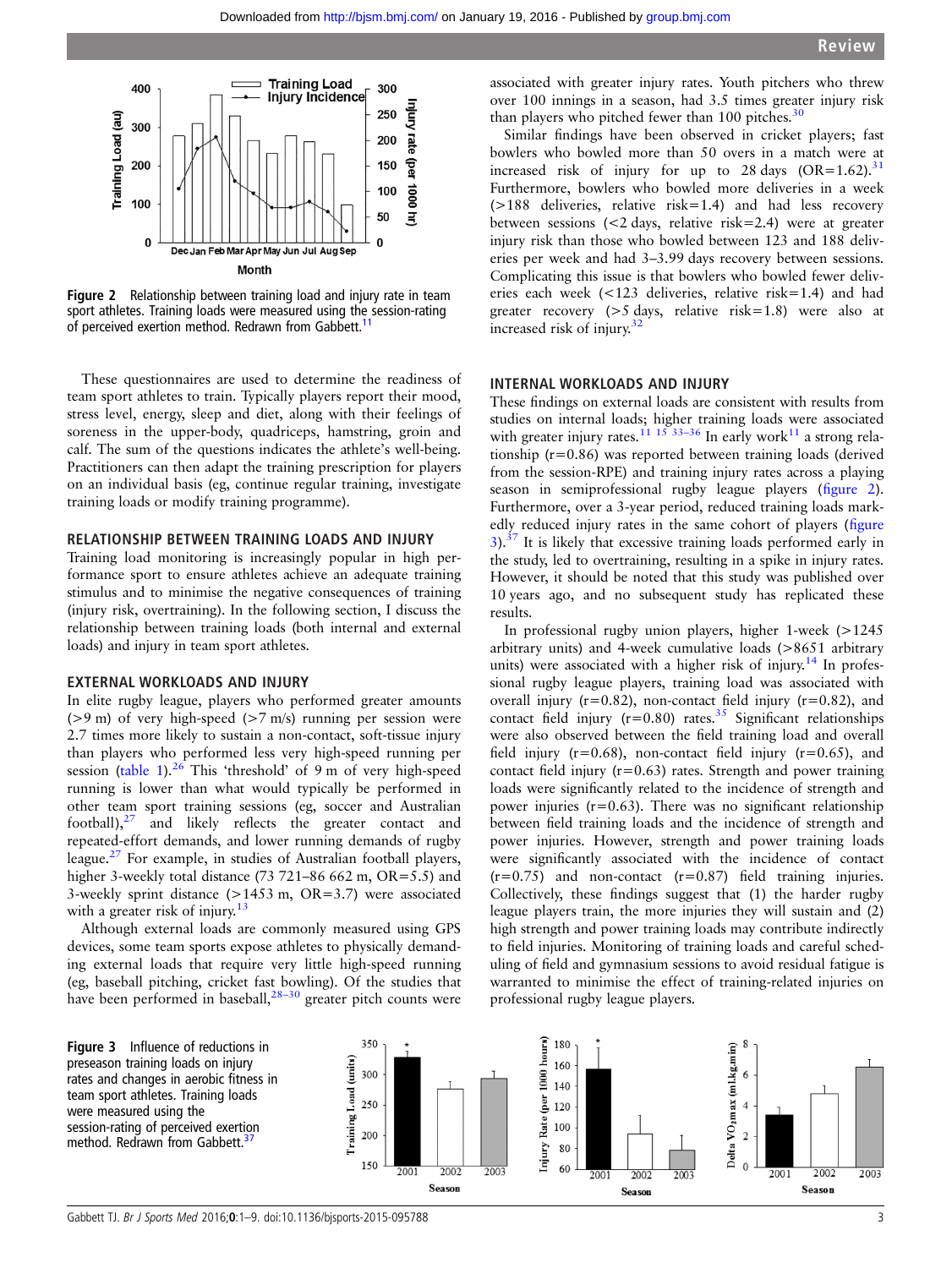

Figure 2 Relationship between training load and injury rate in team sport athletes. Training loads were measured using the session-rating of perceived exertion method. Redrawn from Gabbett.<sup>[11](#page-7-0)</sup>

These questionnaires are used to determine the readiness of team sport athletes to train. Typically players report their mood, stress level, energy, sleep and diet, along with their feelings of soreness in the upper-body, quadriceps, hamstring, groin and calf. The sum of the questions indicates the athlete's well-being. Practitioners can then adapt the training prescription for players on an individual basis (eg, continue regular training, investigate training loads or modify training programme).

#### RELATIONSHIP BETWEEN TRAINING LOADS AND INJURY

Training load monitoring is increasingly popular in high performance sport to ensure athletes achieve an adequate training stimulus and to minimise the negative consequences of training (injury risk, overtraining). In the following section, I discuss the relationship between training loads (both internal and external loads) and injury in team sport athletes.

#### EXTERNAL WORKLOADS AND INJURY

In elite rugby league, players who performed greater amounts ( $>9$  m) of very high-speed ( $>7$  m/s) running per session were 2.7 times more likely to sustain a non-contact, soft-tissue injury than players who performed less very high-speed running per session [\(table 1\)](#page-1-0). $^{26}$  $^{26}$  $^{26}$  This 'threshold' of 9 m of very high-speed running is lower than what would typically be performed in other team sport training sessions (eg, soccer and Australian football), $27$  and likely reflects the greater contact and repeated-effort demands, and lower running demands of rugby league.<sup>27</sup> For example, in studies of Australian football players, higher 3-weekly total distance (73 721–86 662 m, OR=5.5) and 3-weekly sprint distance (>1453 m, OR=3.7) were associated with a greater risk of injury. $13$ 

Although external loads are commonly measured using GPS devices, some team sports expose athletes to physically demanding external loads that require very little high-speed running (eg, baseball pitching, cricket fast bowling). Of the studies that have been performed in baseball, $28-30$  $28-30$  greater pitch counts were

associated with greater injury rates. Youth pitchers who threw over 100 innings in a season, had 3.5 times greater injury risk than players who pitched fewer than 100 pitches. $30$ 

Similar findings have been observed in cricket players; fast bowlers who bowled more than 50 overs in a match were at increased risk of injury for up to 28 days  $(OR=1.62).^{31}$  $(OR=1.62).^{31}$  $(OR=1.62).^{31}$ Furthermore, bowlers who bowled more deliveries in a week (>188 deliveries, relative risk=1.4) and had less recovery between sessions (<2 days, relative risk=2.4) were at greater injury risk than those who bowled between 123 and 188 deliveries per week and had 3–3.99 days recovery between sessions. Complicating this issue is that bowlers who bowled fewer deliveries each week (<123 deliveries, relative risk=1.4) and had greater recovery (>5 days, relative risk=1.8) were also at increased risk of injury.[32](#page-8-0)

#### INTERNAL WORKLOADS AND INJURY

These findings on external loads are consistent with results from studies on internal loads; higher training loads were associated with greater injury rates.<sup>[11 15](#page-7-0)</sup> [33](#page-8-0)-36 In early work<sup>[11](#page-7-0)</sup> a strong relationship (r=0.86) was reported between training loads (derived from the session-RPE) and training injury rates across a playing season in semiprofessional rugby league players (figure 2). Furthermore, over a 3-year period, reduced training loads markedly reduced injury rates in the same cohort of players (figure  $3$ ).<sup>[37](#page-8-0)</sup> It is likely that excessive training loads performed early in the study, led to overtraining, resulting in a spike in injury rates. However, it should be noted that this study was published over 10 years ago, and no subsequent study has replicated these results.

In professional rugby union players, higher 1-week (>1245 arbitrary units) and 4-week cumulative loads (>8651 arbitrary units) were associated with a higher risk of injury.<sup>[14](#page-7-0)</sup> In professional rugby league players, training load was associated with overall injury ( $r=0.82$ ), non-contact field injury ( $r=0.82$ ), and contact field injury  $(r=0.80)$  rates.<sup>[35](#page-8-0)</sup> Significant relationships were also observed between the field training load and overall field injury ( $r=0.68$ ), non-contact field injury ( $r=0.65$ ), and contact field injury  $(r=0.63)$  rates. Strength and power training loads were significantly related to the incidence of strength and power injuries  $(r=0.63)$ . There was no significant relationship between field training loads and the incidence of strength and power injuries. However, strength and power training loads were significantly associated with the incidence of contact  $(r=0.75)$  and non-contact  $(r=0.87)$  field training injuries. Collectively, these findings suggest that (1) the harder rugby league players train, the more injuries they will sustain and (2) high strength and power training loads may contribute indirectly to field injuries. Monitoring of training loads and careful scheduling of field and gymnasium sessions to avoid residual fatigue is warranted to minimise the effect of training-related injuries on professional rugby league players.

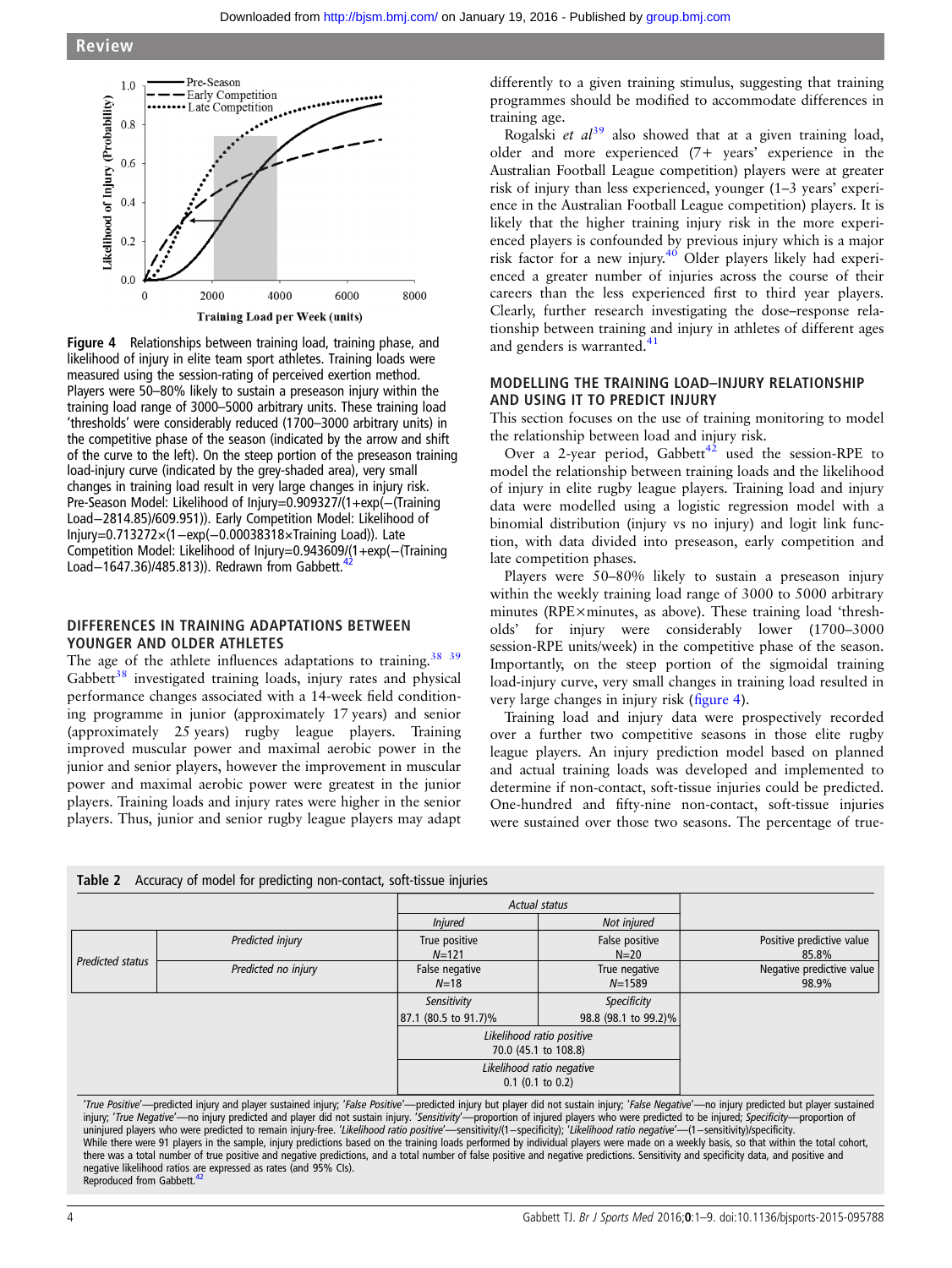<span id="page-3-0"></span>

Figure 4 Relationships between training load, training phase, and likelihood of injury in elite team sport athletes. Training loads were measured using the session-rating of perceived exertion method. Players were 50–80% likely to sustain a preseason injury within the training load range of 3000–5000 arbitrary units. These training load 'thresholds' were considerably reduced (1700–3000 arbitrary units) in the competitive phase of the season (indicated by the arrow and shift of the curve to the left). On the steep portion of the preseason training load-injury curve (indicated by the grey-shaded area), very small changes in training load result in very large changes in injury risk. Pre-Season Model: Likelihood of Injury=0.909327/(1+exp(−(Training Load−2814.85)/609.951)). Early Competition Model: Likelihood of Injury=0.713272×(1−exp(−0.00038318×Training Load)). Late Competition Model: Likelihood of Injury=0.943609/(1+exp(−(Training Load−1647.36)/485.813)). Redrawn from Gabbett.

#### DIFFERENCES IN TRAINING ADAPTATIONS BETWEEN YOUNGER AND OLDER ATHLETES

The age of the athlete influences adaptations to training.<sup>38</sup> <sup>39</sup>  $Gabbett<sup>38</sup>$  $Gabbett<sup>38</sup>$  $Gabbett<sup>38</sup>$  investigated training loads, injury rates and physical performance changes associated with a 14-week field conditioning programme in junior (approximately 17 years) and senior (approximately 25 years) rugby league players. Training improved muscular power and maximal aerobic power in the junior and senior players, however the improvement in muscular power and maximal aerobic power were greatest in the junior players. Training loads and injury rates were higher in the senior players. Thus, junior and senior rugby league players may adapt

 $T_{\rm eff}$  accuracy of model for predicting non-contact, soft-tissue injuries in  $\sigma$ 

differently to a given training stimulus, suggesting that training programmes should be modified to accommodate differences in training age.

Rogalski et  $al^{39}$  $al^{39}$  $al^{39}$  also showed that at a given training load, older and more experienced (7+ years' experience in the Australian Football League competition) players were at greater risk of injury than less experienced, younger (1–3 years' experience in the Australian Football League competition) players. It is likely that the higher training injury risk in the more experienced players is confounded by previous injury which is a major risk factor for a new injury.[40](#page-8-0) Older players likely had experienced a greater number of injuries across the course of their careers than the less experienced first to third year players. Clearly, further research investigating the dose–response relationship between training and injury in athletes of different ages and genders is warranted.<sup>[41](#page-8-0)</sup>

#### MODELLING THE TRAINING LOAD–INJURY RELATIONSHIP AND USING IT TO PREDICT INJURY

This section focuses on the use of training monitoring to model the relationship between load and injury risk.

Over a 2-year period, Gabbett<sup>[42](#page-8-0)</sup> used the session-RPE to model the relationship between training loads and the likelihood of injury in elite rugby league players. Training load and injury data were modelled using a logistic regression model with a binomial distribution (injury vs no injury) and logit link function, with data divided into preseason, early competition and late competition phases.

Players were 50–80% likely to sustain a preseason injury within the weekly training load range of 3000 to 5000 arbitrary minutes (RPE×minutes, as above). These training load 'thresholds' for injury were considerably lower (1700–3000 session-RPE units/week) in the competitive phase of the season. Importantly, on the steep portion of the sigmoidal training load-injury curve, very small changes in training load resulted in very large changes in injury risk (figure 4).

Training load and injury data were prospectively recorded over a further two competitive seasons in those elite rugby league players. An injury prediction model based on planned and actual training loads was developed and implemented to determine if non-contact, soft-tissue injuries could be predicted. One-hundred and fifty-nine non-contact, soft-tissue injuries were sustained over those two seasons. The percentage of true-

|                  | <b>Table 2</b> Accuracy of model for predicting non-contact, soft-tissue injuries |                                                   |                             |                                    |
|------------------|-----------------------------------------------------------------------------------|---------------------------------------------------|-----------------------------|------------------------------------|
|                  |                                                                                   | <b>Actual status</b>                              |                             |                                    |
|                  |                                                                                   | Not injured<br><b>Injured</b>                     |                             |                                    |
| Predicted status | Predicted injury                                                                  | True positive<br>$N = 121$                        | False positive<br>$N=20$    | Positive predictive value<br>85.8% |
|                  | Predicted no injury                                                               | False negative<br>$N = 18$                        | True negative<br>$N = 1589$ | Negative predictive value<br>98.9% |
|                  |                                                                                   | Sensitivity                                       | Specificity                 |                                    |
|                  |                                                                                   | 87.1 (80.5 to 91.7)%                              | 98.8 (98.1 to 99.2)%        |                                    |
|                  |                                                                                   | Likelihood ratio positive<br>70.0 (45.1 to 108.8) |                             |                                    |
|                  |                                                                                   | Likelihood ratio negative<br>$0.1$ (0.1 to 0.2)   |                             |                                    |

'True Positive'—predicted injury and player sustained injury; 'False Positive'—predicted injury but player did not sustain injury; 'False Negative'—no injury predicted but player sustained injury; 'True Negative'—no injury predicted and player did not sustain injury. 'Sensitivity'—proportion of injured players who were predicted to be injured; Specificity—proportion of uninjured players who were predicted to remain injury-free. 'Likelihood ratio positive'—sensitivity/(1-specificity); 'Likelihood ratio negative'—(1-sensitivity)/specificity. While there were 91 players in the sample, injury predictions based on the training loads performed by individual players were made on a weekly basis, so that within the total cohort,<br>there was a total number of true posit negative likelihood ratios are expressed as rates (and 95% CIs).<br>Reproduced from Gabbett.<sup>[42](#page-8-0)</sup>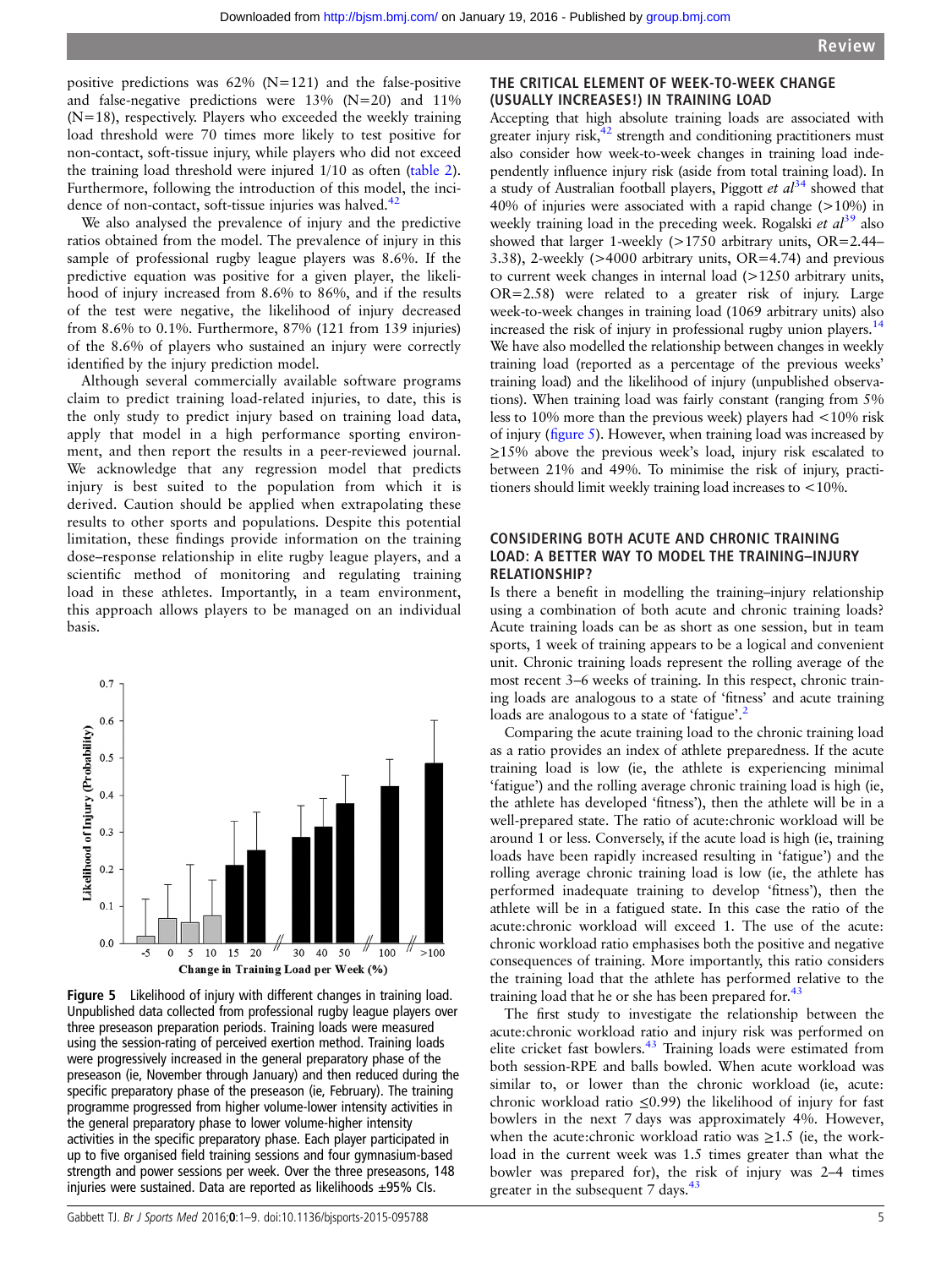positive predictions was  $62\%$  (N=121) and the false-positive and false-negative predictions were  $13\%$  (N=20) and  $11\%$  $(N=18)$ , respectively. Players who exceeded the weekly training load threshold were 70 times more likely to test positive for non-contact, soft-tissue injury, while players who did not exceed the training load threshold were injured 1/10 as often ([table 2](#page-3-0)). Furthermore, following the introduction of this model, the incidence of non-contact, soft-tissue injuries was halved. $42$ 

We also analysed the prevalence of injury and the predictive ratios obtained from the model. The prevalence of injury in this sample of professional rugby league players was 8.6%. If the predictive equation was positive for a given player, the likelihood of injury increased from 8.6% to 86%, and if the results of the test were negative, the likelihood of injury decreased from 8.6% to 0.1%. Furthermore, 87% (121 from 139 injuries) of the 8.6% of players who sustained an injury were correctly identified by the injury prediction model.

Although several commercially available software programs claim to predict training load-related injuries, to date, this is the only study to predict injury based on training load data, apply that model in a high performance sporting environment, and then report the results in a peer-reviewed journal. We acknowledge that any regression model that predicts injury is best suited to the population from which it is derived. Caution should be applied when extrapolating these results to other sports and populations. Despite this potential limitation, these findings provide information on the training dose–response relationship in elite rugby league players, and a scientific method of monitoring and regulating training load in these athletes. Importantly, in a team environment, this approach allows players to be managed on an individual basis.



Figure 5 Likelihood of injury with different changes in training load. Unpublished data collected from professional rugby league players over three preseason preparation periods. Training loads were measured using the session-rating of perceived exertion method. Training loads were progressively increased in the general preparatory phase of the preseason (ie, November through January) and then reduced during the specific preparatory phase of the preseason (ie, February). The training programme progressed from higher volume-lower intensity activities in the general preparatory phase to lower volume-higher intensity activities in the specific preparatory phase. Each player participated in up to five organised field training sessions and four gymnasium-based strength and power sessions per week. Over the three preseasons, 148 injuries were sustained. Data are reported as likelihoods  $\pm$ 95% CIs.

#### THE CRITICAL ELEMENT OF WEEK-TO-WEEK CHANGE (USUALLY INCREASES!) IN TRAINING LOAD

Accepting that high absolute training loads are associated with greater injury risk, $42$  strength and conditioning practitioners must also consider how week-to-week changes in training load independently influence injury risk (aside from total training load). In a study of Australian football players, Piggott et  $al<sup>34</sup>$  $al<sup>34</sup>$  $al<sup>34</sup>$  showed that 40% of injuries were associated with a rapid change (>10%) in weekly training load in the preceding week. Rogalski et  $al^{39}$  $al^{39}$  $al^{39}$  also showed that larger 1-weekly (>1750 arbitrary units, OR=2.44– 3.38), 2-weekly (>4000 arbitrary units, OR=4.74) and previous to current week changes in internal load (>1250 arbitrary units, OR=2.58) were related to a greater risk of injury. Large week-to-week changes in training load (1069 arbitrary units) also increased the risk of injury in professional rugby union players.<sup>14</sup> We have also modelled the relationship between changes in weekly training load (reported as a percentage of the previous weeks' training load) and the likelihood of injury (unpublished observations). When training load was fairly constant (ranging from 5% less to 10% more than the previous week) players had <10% risk of injury (figure 5). However, when training load was increased by  $\geq$ 15% above the previous week's load, injury risk escalated to between 21% and 49%. To minimise the risk of injury, practitioners should limit weekly training load increases to <10%.

#### CONSIDERING BOTH ACUTE AND CHRONIC TRAINING LOAD: A BETTER WAY TO MODEL THE TRAINING–INJURY RELATIONSHIP?

Is there a benefit in modelling the training–injury relationship using a combination of both acute and chronic training loads? Acute training loads can be as short as one session, but in team sports, 1 week of training appears to be a logical and convenient unit. Chronic training loads represent the rolling average of the most recent 3–6 weeks of training. In this respect, chronic training loads are analogous to a state of 'fitness' and acute training loads are analogous to a state of 'fatigue'.<sup>[2](#page-7-0)</sup>

Comparing the acute training load to the chronic training load as a ratio provides an index of athlete preparedness. If the acute training load is low (ie, the athlete is experiencing minimal 'fatigue') and the rolling average chronic training load is high (ie, the athlete has developed 'fitness'), then the athlete will be in a well-prepared state. The ratio of acute:chronic workload will be around 1 or less. Conversely, if the acute load is high (ie, training loads have been rapidly increased resulting in 'fatigue') and the rolling average chronic training load is low (ie, the athlete has performed inadequate training to develop 'fitness'), then the athlete will be in a fatigued state. In this case the ratio of the acute:chronic workload will exceed 1. The use of the acute: chronic workload ratio emphasises both the positive and negative consequences of training. More importantly, this ratio considers the training load that the athlete has performed relative to the training load that he or she has been prepared for. $43$ 

The first study to investigate the relationship between the acute:chronic workload ratio and injury risk was performed on elite cricket fast bowlers.<sup>[43](#page-8-0)</sup> Training loads were estimated from both session-RPE and balls bowled. When acute workload was similar to, or lower than the chronic workload (ie, acute: chronic workload ratio  $\leq 0.99$ ) the likelihood of injury for fast bowlers in the next 7 days was approximately 4%. However, when the acute:chronic workload ratio was  $\geq$ 1.5 (ie, the workload in the current week was 1.5 times greater than what the bowler was prepared for), the risk of injury was 2–4 times greater in the subsequent 7 days.<sup>43</sup>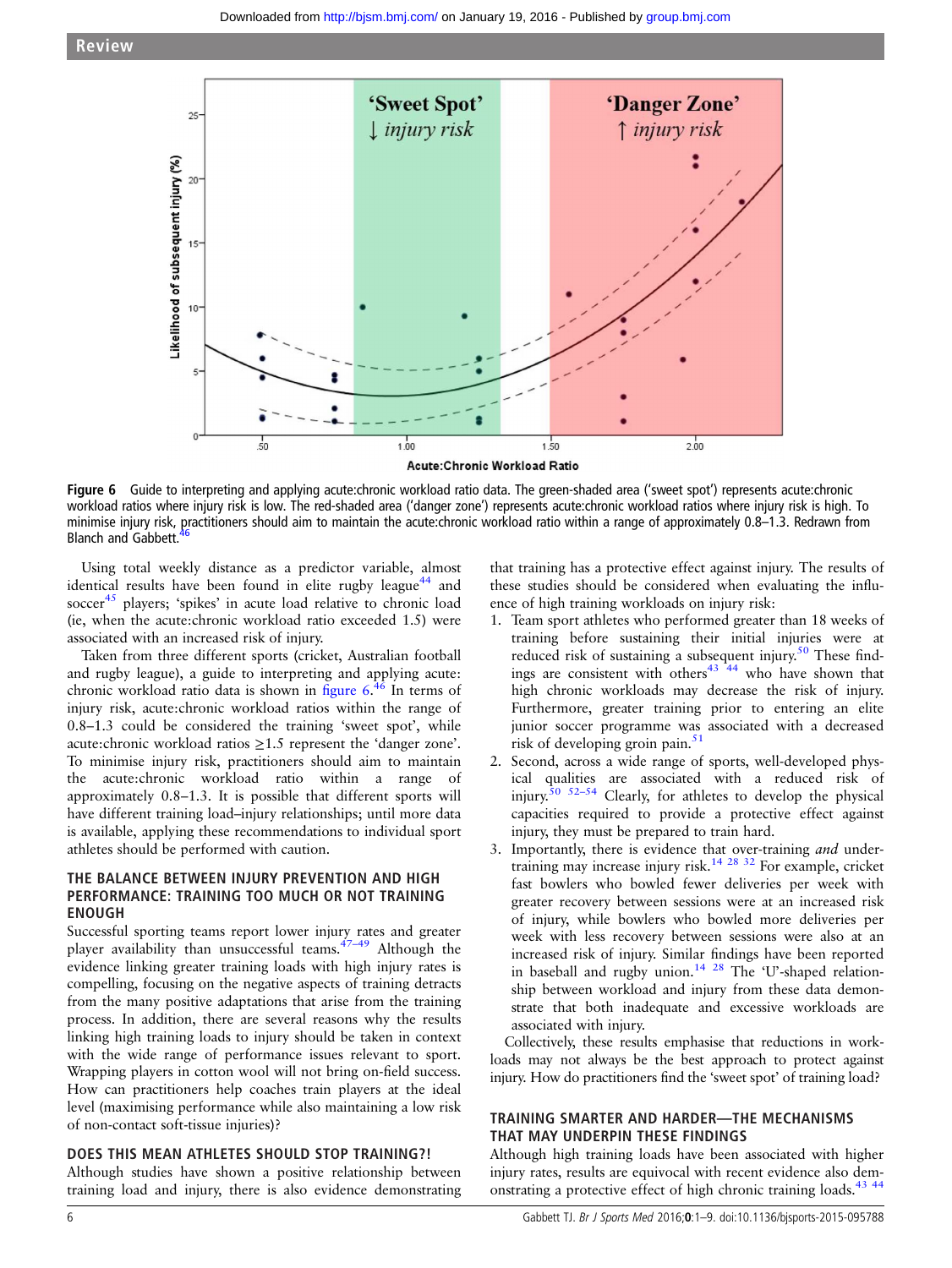

Figure 6 Guide to interpreting and applying acute:chronic workload ratio data. The green-shaded area ('sweet spot') represents acute:chronic workload ratios where injury risk is low. The red-shaded area ('danger zone') represents acute:chronic workload ratios where injury risk is high. To minimise injury risk, practitioners should aim to maintain the acute:chronic workload ratio within a range of approximately 0.8–1.3. Redrawn from Blanch and Gabbett.

Using total weekly distance as a predictor variable, almost identical results have been found in elite rugby league<sup>44</sup> and soccer<sup>[45](#page-8-0)</sup> players; 'spikes' in acute load relative to chronic load (ie, when the acute:chronic workload ratio exceeded 1.5) were associated with an increased risk of injury.

Taken from three different sports (cricket, Australian football and rugby league), a guide to interpreting and applying acute: chronic workload ratio data is shown in figure 6.<sup>[46](#page-8-0)</sup> In terms of injury risk, acute:chronic workload ratios within the range of 0.8–1.3 could be considered the training 'sweet spot', while acute:chronic workload ratios ≥1.5 represent the 'danger zone'. To minimise injury risk, practitioners should aim to maintain the acute:chronic workload ratio within a range of approximately 0.8–1.3. It is possible that different sports will have different training load–injury relationships; until more data is available, applying these recommendations to individual sport athletes should be performed with caution.

# THE BALANCE BETWEEN INJURY PREVENTION AND HIGH PERFORMANCE: TRAINING TOO MUCH OR NOT TRAINING ENOUGH

Successful sporting teams report lower injury rates and greater player availability than unsuccessful teams. $47-49$  $47-49$  Although the evidence linking greater training loads with high injury rates is compelling, focusing on the negative aspects of training detracts from the many positive adaptations that arise from the training process. In addition, there are several reasons why the results linking high training loads to injury should be taken in context with the wide range of performance issues relevant to sport. Wrapping players in cotton wool will not bring on-field success. How can practitioners help coaches train players at the ideal level (maximising performance while also maintaining a low risk of non-contact soft-tissue injuries)?

#### DOES THIS MEAN ATHLETES SHOULD STOP TRAINING?!

Although studies have shown a positive relationship between training load and injury, there is also evidence demonstrating

that training has a protective effect against injury. The results of these studies should be considered when evaluating the influence of high training workloads on injury risk:

- 1. Team sport athletes who performed greater than 18 weeks of training before sustaining their initial injuries were at reduced risk of sustaining a subsequent injury.<sup>[50](#page-8-0)</sup> These findings are consistent with others $43 \times 44$  who have shown that high chronic workloads may decrease the risk of injury. Furthermore, greater training prior to entering an elite junior soccer programme was associated with a decreased risk of developing groin pain.<sup>[51](#page-8-0)</sup>
- 2. Second, across a wide range of sports, well-developed physical qualities are associated with a reduced risk of injury. $50$   $52-54$  Clearly, for athletes to develop the physical capacities required to provide a protective effect against injury, they must be prepared to train hard.
- 3. Importantly, there is evidence that over-training and under-training may increase injury risk.<sup>[14 28](#page-7-0) [32](#page-8-0)</sup> For example, cricket fast bowlers who bowled fewer deliveries per week with greater recovery between sessions were at an increased risk of injury, while bowlers who bowled more deliveries per week with less recovery between sessions were also at an increased risk of injury. Similar findings have been reported in baseball and rugby union.<sup>14 28</sup> The 'U'-shaped relationship between workload and injury from these data demonstrate that both inadequate and excessive workloads are associated with injury.

Collectively, these results emphasise that reductions in workloads may not always be the best approach to protect against injury. How do practitioners find the 'sweet spot' of training load?

## TRAINING SMARTER AND HARDER—THE MECHANISMS THAT MAY UNDERPIN THESE FINDINGS

Although high training loads have been associated with higher injury rates, results are equivocal with recent evidence also demonstrating a protective effect of high chronic training loads.[43 44](#page-8-0)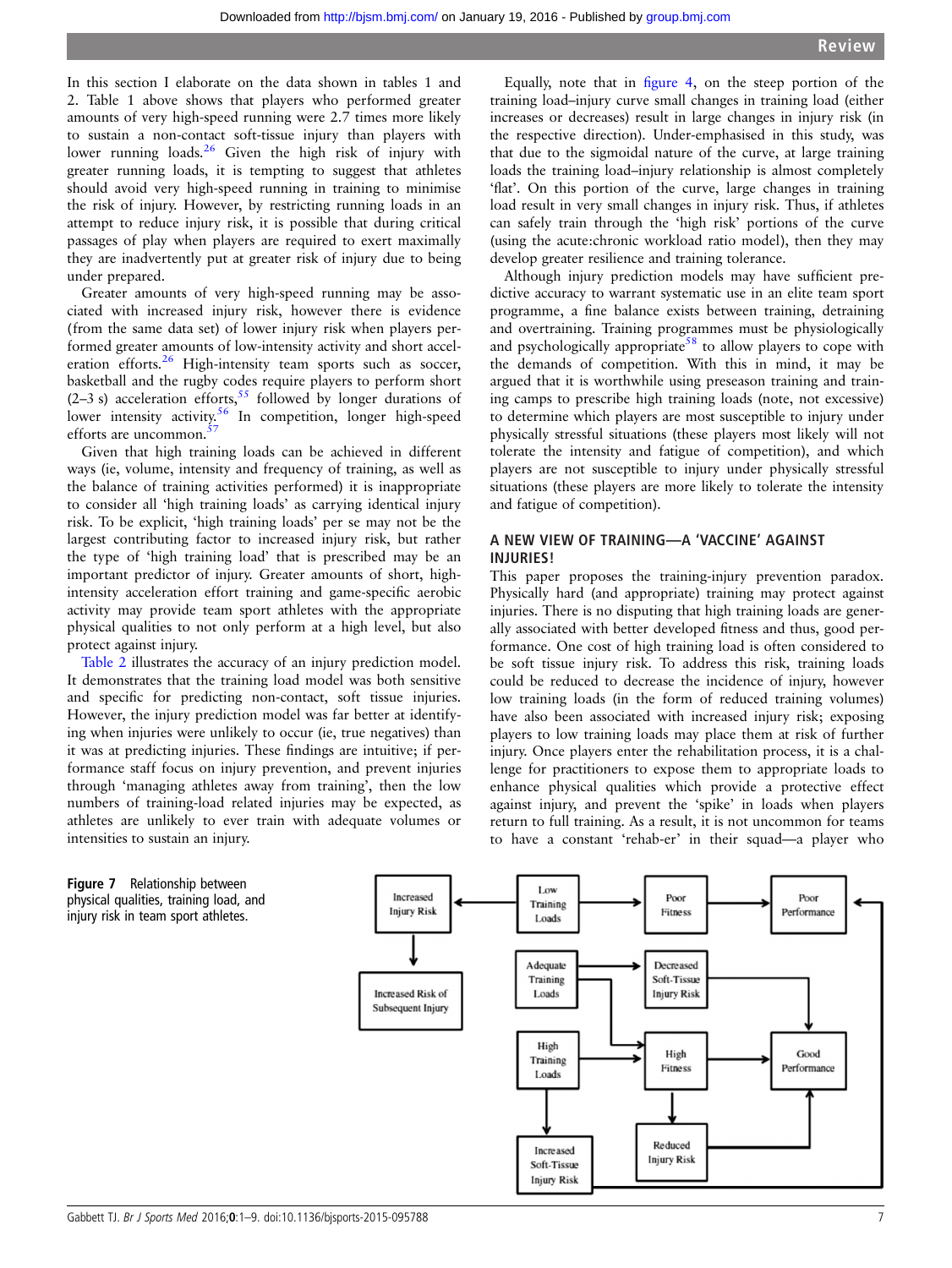<span id="page-6-0"></span>In this section I elaborate on the data shown in tables 1 and 2. Table 1 above shows that players who performed greater amounts of very high-speed running were 2.7 times more likely to sustain a non-contact soft-tissue injury than players with lower running loads.<sup>[26](#page-7-0)</sup> Given the high risk of injury with greater running loads, it is tempting to suggest that athletes should avoid very high-speed running in training to minimise the risk of injury. However, by restricting running loads in an attempt to reduce injury risk, it is possible that during critical passages of play when players are required to exert maximally they are inadvertently put at greater risk of injury due to being under prepared.

Greater amounts of very high-speed running may be associated with increased injury risk, however there is evidence (from the same data set) of lower injury risk when players performed greater amounts of low-intensity activity and short accel-eration efforts.<sup>[26](#page-7-0)</sup> High-intensity team sports such as soccer, basketball and the rugby codes require players to perform short  $(2-3 s)$  acceleration efforts,<sup>[55](#page-8-0)</sup> followed by longer durations of lower intensity activity.<sup>[56](#page-8-0)</sup> In competition, longer high-speed efforts are uncommon.<sup>5</sup>

Given that high training loads can be achieved in different ways (ie, volume, intensity and frequency of training, as well as the balance of training activities performed) it is inappropriate to consider all 'high training loads' as carrying identical injury risk. To be explicit, 'high training loads' per se may not be the largest contributing factor to increased injury risk, but rather the type of 'high training load' that is prescribed may be an important predictor of injury. Greater amounts of short, highintensity acceleration effort training and game-specific aerobic activity may provide team sport athletes with the appropriate physical qualities to not only perform at a high level, but also protect against injury.

[Table 2](#page-3-0) illustrates the accuracy of an injury prediction model. It demonstrates that the training load model was both sensitive and specific for predicting non-contact, soft tissue injuries. However, the injury prediction model was far better at identifying when injuries were unlikely to occur (ie, true negatives) than it was at predicting injuries. These findings are intuitive; if performance staff focus on injury prevention, and prevent injuries through 'managing athletes away from training', then the low numbers of training-load related injuries may be expected, as athletes are unlikely to ever train with adequate volumes or intensities to sustain an injury.

Equally, note that in fi[gure 4,](#page-3-0) on the steep portion of the training load–injury curve small changes in training load (either increases or decreases) result in large changes in injury risk (in the respective direction). Under-emphasised in this study, was that due to the sigmoidal nature of the curve, at large training loads the training load–injury relationship is almost completely 'flat'. On this portion of the curve, large changes in training load result in very small changes in injury risk. Thus, if athletes can safely train through the 'high risk' portions of the curve (using the acute:chronic workload ratio model), then they may develop greater resilience and training tolerance.

Although injury prediction models may have sufficient predictive accuracy to warrant systematic use in an elite team sport programme, a fine balance exists between training, detraining and overtraining. Training programmes must be physiologically and psychologically appropriate<sup>[58](#page-8-0)</sup> to allow players to cope with the demands of competition. With this in mind, it may be argued that it is worthwhile using preseason training and training camps to prescribe high training loads (note, not excessive) to determine which players are most susceptible to injury under physically stressful situations (these players most likely will not tolerate the intensity and fatigue of competition), and which players are not susceptible to injury under physically stressful situations (these players are more likely to tolerate the intensity and fatigue of competition).

### A NEW VIEW OF TRAINING—A 'VACCINE' AGAINST INJURIES!

This paper proposes the training-injury prevention paradox. Physically hard (and appropriate) training may protect against injuries. There is no disputing that high training loads are generally associated with better developed fitness and thus, good performance. One cost of high training load is often considered to be soft tissue injury risk. To address this risk, training loads could be reduced to decrease the incidence of injury, however low training loads (in the form of reduced training volumes) have also been associated with increased injury risk; exposing players to low training loads may place them at risk of further injury. Once players enter the rehabilitation process, it is a challenge for practitioners to expose them to appropriate loads to enhance physical qualities which provide a protective effect against injury, and prevent the 'spike' in loads when players return to full training. As a result, it is not uncommon for teams to have a constant 'rehab-er' in their squad—a player who

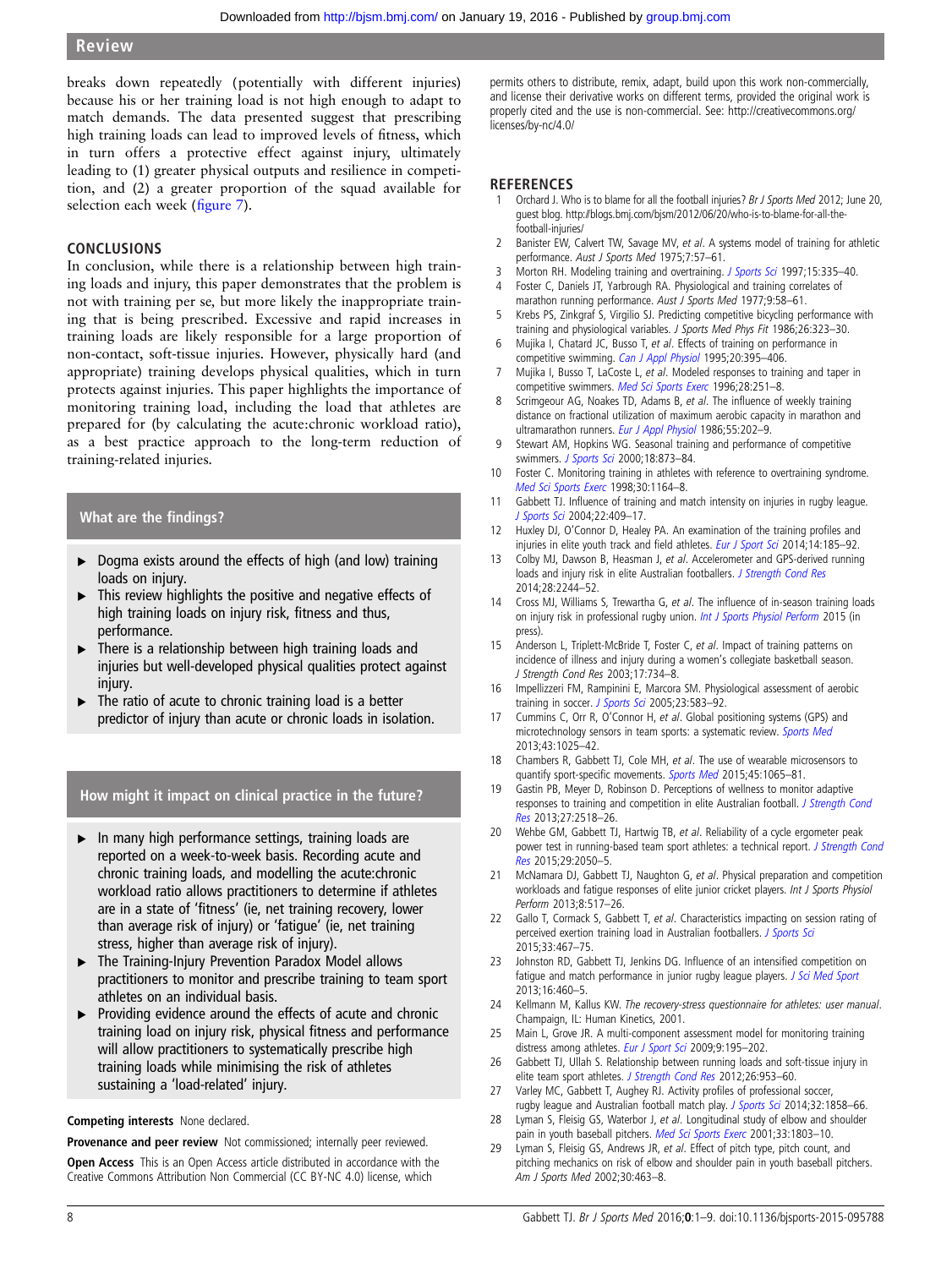<span id="page-7-0"></span>breaks down repeatedly (potentially with different injuries) because his or her training load is not high enough to adapt to match demands. The data presented suggest that prescribing high training loads can lead to improved levels of fitness, which in turn offers a protective effect against injury, ultimately leading to (1) greater physical outputs and resilience in competition, and (2) a greater proportion of the squad available for selection each week (fi[gure 7\)](#page-6-0).

# CONCLUSIONS

In conclusion, while there is a relationship between high training loads and injury, this paper demonstrates that the problem is not with training per se, but more likely the inappropriate training that is being prescribed. Excessive and rapid increases in training loads are likely responsible for a large proportion of non-contact, soft-tissue injuries. However, physically hard (and appropriate) training develops physical qualities, which in turn protects against injuries. This paper highlights the importance of monitoring training load, including the load that athletes are prepared for (by calculating the acute:chronic workload ratio), as a best practice approach to the long-term reduction of training-related injuries.

# What are the findings?

- ▶ Dogma exists around the effects of high (and low) training loads on injury.
- $\triangleright$  This review highlights the positive and negative effects of high training loads on injury risk, fitness and thus, performance.
- ▶ There is a relationship between high training loads and injuries but well-developed physical qualities protect against injury.
- The ratio of acute to chronic training load is a better predictor of injury than acute or chronic loads in isolation.

# How might it impact on clinical practice in the future?

- ▶ In many high performance settings, training loads are reported on a week-to-week basis. Recording acute and chronic training loads, and modelling the acute:chronic workload ratio allows practitioners to determine if athletes are in a state of 'fitness' (ie, net training recovery, lower than average risk of injury) or 'fatigue' (ie, net training stress, higher than average risk of injury).
- ▸ The Training-Injury Prevention Paradox Model allows practitioners to monitor and prescribe training to team sport athletes on an individual basis.
- ▶ Providing evidence around the effects of acute and chronic training load on injury risk, physical fitness and performance will allow practitioners to systematically prescribe high training loads while minimising the risk of athletes sustaining a 'load-related' injury.

#### Competing interests None declared.

Provenance and peer review Not commissioned; internally peer reviewed.

Open Access This is an Open Access article distributed in accordance with the Creative Commons Attribution Non Commercial (CC BY-NC 4.0) license, which

permits others to distribute, remix, adapt, build upon this work non-commercially, and license their derivative works on different terms, provided the original work is properly cited and the use is non-commercial. See: [http://creativecommons.org/](http://creativecommons.org/licenses/by-nc/4.0/) [licenses/by-nc/4.0/](http://creativecommons.org/licenses/by-nc/4.0/)

#### **REFERENCES**

- Orchard J. Who is to blame for all the football injuries? Br J Sports Med 2012; June 20, guest blog. [http://blogs.bmj.com/bjsm/2012/06/20/who-is-to-blame-for-all-the](http://blogs.bmj.com/bjsm/2012/06/20/who-is-to-blame-for-all-the-football-injuries/)[football-injuries/](http://blogs.bmj.com/bjsm/2012/06/20/who-is-to-blame-for-all-the-football-injuries/)
- 2 Banister EW, Calvert TW, Savage MV, et al. A systems model of training for athletic performance. Aust J Sports Med 1975;7:57–61.
- 3 Morton RH. Modeling training and overtraining. [J Sports Sci](http://dx.doi.org/10.1080/026404197367344) 1997;15:335–40.
- 4 Foster C, Daniels JT, Yarbrough RA. Physiological and training correlates of marathon running performance. Aust J Sports Med 1977;9:58-61.
- 5 Krebs PS, Zinkgraf S, Virgilio SJ. Predicting competitive bicycling performance with training and physiological variables. J Sports Med Phys Fit 1986;26:323–30.
- Mujika I, Chatard JC, Busso T, et al. Effects of training on performance in competitive swimming. [Can J Appl Physiol](http://dx.doi.org/10.1139/h95-031) 1995;20:395-406.
- Mujika I, Busso T, LaCoste L, et al. Modeled responses to training and taper in competitive swimmers. [Med Sci Sports Exerc](http://dx.doi.org/10.1097/00005768-199602000-00015) 1996;28:251–8.
- Scrimgeour AG, Noakes TD, Adams B, et al. The influence of weekly training distance on fractional utilization of maximum aerobic capacity in marathon and ultramarathon runners. [Eur J Appl Physiol](http://dx.doi.org/10.1007/BF00715006) 1986;55:202-9.
- 9 Stewart AM, Hopkins WG. Seasonal training and performance of competitive swimmers. [J Sports Sci](http://dx.doi.org/10.1080/026404100750017805) 2000;18:873-84.
- 10 Foster C. Monitoring training in athletes with reference to overtraining syndrome. [Med Sci Sports Exerc](http://dx.doi.org/10.1097/00005768-199807000-00023) 1998;30:1164–8.
- 11 Gabbett TJ. Influence of training and match intensity on injuries in rugby league. [J Sports Sci](http://dx.doi.org/10.1080/02640410310001641638) 2004;22:409–17.
- 12 Huxley DJ, O'Connor D, Healey PA. An examination of the training profiles and injuries in elite youth track and field athletes. [Eur J Sport Sci](http://dx.doi.org/10.1080/17461391.2013.809153) 2014;14:185-92.
- 13 Colby MJ, Dawson B, Heasman J, et al. Accelerometer and GPS-derived running loads and injury risk in elite Australian footballers. [J Strength Cond Res](http://dx.doi.org/10.1519/JSC.0000000000000362) 2014;28:2244–52.
- 14 Cross MJ, Williams S, Trewartha G, et al. The influence of in-season training loads on injury risk in professional rugby union. *[Int J Sports Physiol Perform](http://dx.doi.org/10.1123/ijspp.2015-0187)* 2015 (in press).
- 15 Anderson L, Triplett-McBride T, Foster C, et al. Impact of training patterns on incidence of illness and injury during a women's collegiate basketball season. J Strength Cond Res 2003;17:734–8.
- 16 Impellizzeri FM, Rampinini E, Marcora SM. Physiological assessment of aerobic training in soccer. [J Sports Sci](http://dx.doi.org/10.1080/02640410400021278) 2005;23:583-92.
- 17 Cummins C, Orr R, O'Connor H, et al. Global positioning systems (GPS) and microtechnology sensors in team sports: a systematic review. [Sports Med](http://dx.doi.org/10.1007/s40279-013-0069-2) 2013;43:1025–42.
- 18 Chambers R, Gabbett TJ, Cole MH, et al. The use of wearable microsensors to quantify sport-specific movements. [Sports Med](http://dx.doi.org/10.1007/s40279-015-0332-9) 2015;45:1065-81.
- 19 Gastin PB, Meyer D, Robinson D. Perceptions of wellness to monitor adaptive responses to training and competition in elite Australian football. *[J Strength Cond](http://dx.doi.org/10.1519/JSC.0b013e31827fd600)* [Res](http://dx.doi.org/10.1519/JSC.0b013e31827fd600) 2013;27:2518–26.
- 20 Wehbe GM, Gabbett TJ, Hartwig TB, et al. Reliability of a cycle ergometer peak power test in running-based team sport athletes: a technical report. [J Strength Cond](http://dx.doi.org/10.1519/JSC.0000000000000814) [Res](http://dx.doi.org/10.1519/JSC.0000000000000814) 2015;29:2050–5.
- 21 McNamara DJ, Gabbett TJ, Naughton G, et al. Physical preparation and competition workloads and fatigue responses of elite junior cricket players. Int J Sports Physiol Perform 2013;8:517–26.
- 22 Gallo T, Cormack S, Gabbett T, et al. Characteristics impacting on session rating of perceived exertion training load in Australian footballers. [J Sports Sci](http://dx.doi.org/10.1080/02640414.2014.947311) 2015;33:467–75.
- 23 Johnston RD, Gabbett TJ, Jenkins DG. Influence of an intensified competition on fatique and match performance in junior rugby league players. [J Sci Med Sport](http://dx.doi.org/10.1016/j.jsams.2012.10.009) 2013;16:460–5.
- 24 Kellmann M, Kallus KW. The recovery-stress questionnaire for athletes: user manual. Champaign, IL: Human Kinetics, 2001.
- 25 Main L, Grove JR. A multi-component assessment model for monitoring training distress among athletes. [Eur J Sport Sci](http://dx.doi.org/10.1080/17461390902818260) 2009;9:195-202.
- 26 Gabbett TJ, Ullah S. Relationship between running loads and soft-tissue injury in elite team sport athletes. [J Strength Cond Res](http://dx.doi.org/10.1519/JSC.0b013e3182302023) 2012;26:953-60.
- 27 Varley MC, Gabbett T, Aughey RJ. Activity profiles of professional soccer, rugby league and Australian football match play. [J Sports Sci](http://dx.doi.org/10.1080/02640414.2013.823227) 2014;32:1858-66.
- 28 Lyman S, Fleisig GS, Waterbor J, et al. Longitudinal study of elbow and shoulder pain in youth baseball pitchers. [Med Sci Sports Exerc](http://dx.doi.org/10.1097/00005768-200111000-00002) 2001;33:1803-10.
- 29 Lyman S, Fleisig GS, Andrews JR, et al. Effect of pitch type, pitch count, and pitching mechanics on risk of elbow and shoulder pain in youth baseball pitchers. Am J Sports Med 2002;30:463–8.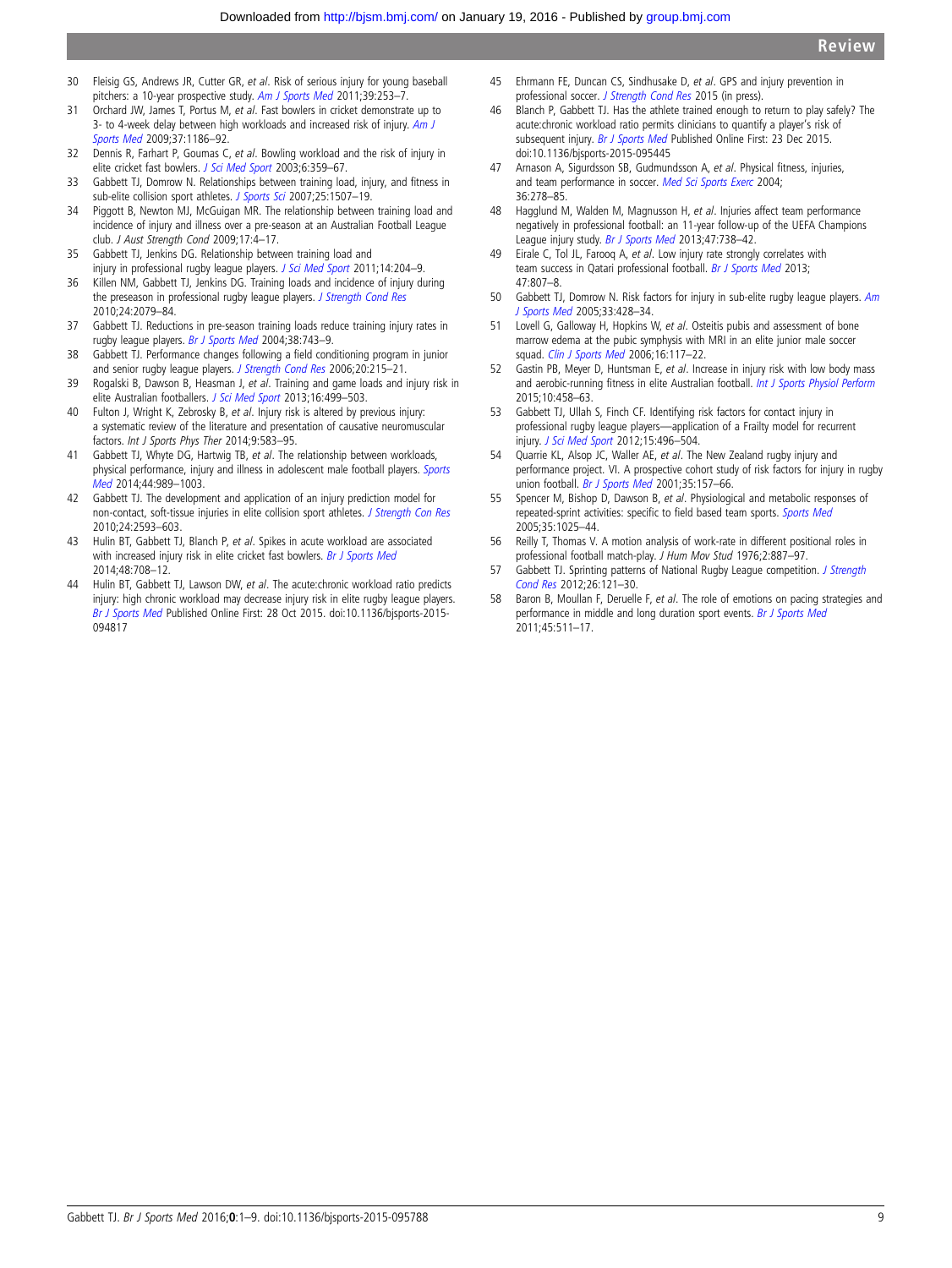- <span id="page-8-0"></span>30 Fleisig GS, Andrews JR, Cutter GR, et al. Risk of serious injury for young baseball pitchers: a 10-year prospective study. [Am J Sports Med](http://dx.doi.org/10.1177/0363546510384224) 2011;39:253-7.
- 31 Orchard JW, James T, Portus M, et al. Fast bowlers in cricket demonstrate up to 3- to 4-week delay between high workloads and increased risk of injury. [Am J](http://dx.doi.org/10.1177/0363546509332430) [Sports Med](http://dx.doi.org/10.1177/0363546509332430) 2009;37:1186–92.
- 32 Dennis R, Farhart P, Goumas C, et al. Bowling workload and the risk of injury in elite cricket fast bowlers. [J Sci Med Sport](http://dx.doi.org/10.1016/S1440-2440(03)80031-2) 2003;6:359-67.
- 33 Gabbett TJ, Domrow N. Relationships between training load, injury, and fitness in sub-elite collision sport athletes. [J Sports Sci](http://dx.doi.org/10.1080/02640410701215066) 2007;25:1507-19.
- 34 Piggott B, Newton MJ, McGuigan MR. The relationship between training load and incidence of injury and illness over a pre-season at an Australian Football League club. J Aust Strength Cond 2009;17:4–17.
- 35 Gabbett TJ, Jenkins DG. Relationship between training load and injury in professional rugby league players. [J Sci Med Sport](http://dx.doi.org/10.1016/j.jsams.2010.12.002) 2011;14:204-9.
- 36 Killen NM, Gabbett TJ, Jenkins DG. Training loads and incidence of injury during the preseason in professional rugby league players. [J Strength Cond Res](http://dx.doi.org/10.1519/JSC.0b013e3181ddafff) 2010;24:2079–84.
- 37 Gabbett TJ. Reductions in pre-season training loads reduce training injury rates in rugby league players. [Br J Sports Med](http://dx.doi.org/10.1136/bjsm.2003.008391) 2004;38:743–9.
- 38 Gabbett TJ. Performance changes following a field conditioning program in junior and senior rugby league players. [J Strength Cond Res](http://dx.doi.org/10.1519/R-16554.1) 2006;20:215-21.
- 39 Rogalski B, Dawson B, Heasman J, et al. Training and game loads and injury risk in elite Australian footballers. [J Sci Med Sport](http://dx.doi.org/10.1016/j.jsams.2012.12.004) 2013;16:499-503.
- 40 Fulton J, Wright K, Zebrosky B, et al. Injury risk is altered by previous injury: a systematic review of the literature and presentation of causative neuromuscular factors. Int J Sports Phys Ther 2014;9:583–95.
- 41 Gabbett TJ, Whyte DG, Hartwig TB, et al. The relationship between workloads, physical performance, injury and illness in adolescent male football players. [Sports](http://dx.doi.org/10.1007/s40279-014-0179-5) [Med](http://dx.doi.org/10.1007/s40279-014-0179-5) 2014;44:989–1003.
- 42 Gabbett TJ. The development and application of an injury prediction model for non-contact, soft-tissue injuries in elite collision sport athletes. [J Strength Con Res](http://dx.doi.org/10.1519/JSC.0b013e3181f19da4) 2010;24:2593–603.
- 43 Hulin BT, Gabbett TJ, Blanch P, et al. Spikes in acute workload are associated with increased injury risk in elite cricket fast bowlers. [Br J Sports Med](http://dx.doi.org/10.1136/bjsports-2013-092524) 2014;48:708–12.
- 44 Hulin BT, Gabbett TJ, Lawson DW, et al. The acute: chronic workload ratio predicts injury: high chronic workload may decrease injury risk in elite rugby league players. [Br J Sports Med](http://dx.doi.org/10.1136/bjsports-2015-094817) Published Online First: 28 Oct 2015. doi:10.1136/bjsports-2015- 094817
- 45 Ehrmann FE, Duncan CS, Sindhusake D, et al. GPS and injury prevention in professional soccer. [J Strength Cond Res](http://dx.doi.org/10.1519/JSC.0000000000001093) 2015 (in press).
- 46 Blanch P, Gabbett TJ. Has the athlete trained enough to return to play safely? The acute:chronic workload ratio permits clinicians to quantify a player's risk of subsequent injury. [Br J Sports Med](http://dx.doi.org/10.1136/bjsports-2015-095445) Published Online First: 23 Dec 2015. doi:10.1136/bjsports-2015-095445
- 47 Arnason A, Sigurdsson SB, Gudmundsson A, et al. Physical fitness, injuries, and team performance in soccer. [Med Sci Sports Exerc](http://dx.doi.org/10.1249/01.MSS.0000113478.92945.CA) 2004; 36:278–85.
- 48 Hagglund M, Walden M, Magnusson H, et al. Injuries affect team performance negatively in professional football: an 11-year follow-up of the UEFA Champions League injury study. [Br J Sports Med](http://dx.doi.org/10.1136/bjsports-2013-092215) 2013;47:738-42.
- 49 Eirale C, Tol JL, Farooq A, et al. Low injury rate strongly correlates with team success in Qatari professional football. [Br J Sports Med](http://dx.doi.org/10.1136/bjsports-2012-091040) 2013; 47:807–8.
- 50 Gabbett TJ, Domrow N. Risk factors for injury in sub-elite rugby league players. [Am](http://dx.doi.org/10.1177/0363546504268407) [J Sports Med](http://dx.doi.org/10.1177/0363546504268407) 2005;33:428–34.
- 51 Lovell G, Galloway H, Hopkins W, et al. Osteitis pubis and assessment of bone marrow edema at the pubic symphysis with MRI in an elite junior male soccer squad. [Clin J Sports Med](http://dx.doi.org/10.1097/00042752-200603000-00006) 2006;16:117-22.
- 52 Gastin PB, Meyer D, Huntsman E, et al. Increase in injury risk with low body mass and aerobic-running fitness in elite Australian football. [Int J Sports Physiol Perform](http://dx.doi.org/10.1123/ijspp.2014-0257) 2015;10:458–63.
- 53 Gabbett TJ, Ullah S, Finch CF. Identifying risk factors for contact injury in professional rugby league players—application of a Frailty model for recurrent injury. [J Sci Med Sport](http://dx.doi.org/10.1016/j.jsams.2012.03.017) 2012;15:496–504.
- 54 Quarrie KL, Alsop JC, Waller AE, et al. The New Zealand rugby injury and performance project. VI. A prospective cohort study of risk factors for injury in rugby union football. [Br J Sports Med](http://dx.doi.org/10.1136/bjsm.35.3.157) 2001;35:157-66.
- 55 Spencer M, Bishop D, Dawson B, et al. Physiological and metabolic responses of repeated-sprint activities: specific to field based team sports. [Sports](http://dx.doi.org/10.2165/00007256-200535120-00003) Med 2005;35:1025–44.
- 56 Reilly T, Thomas V. A motion analysis of work-rate in different positional roles in professional football match-play. J Hum Mov Stud 1976;2:887-97.
- 57 Gabbett TJ. Sprinting patterns of National Rugby League competition. [J Strength](http://dx.doi.org/10.1519/JSC.0b013e31821e4c60) [Cond Res](http://dx.doi.org/10.1519/JSC.0b013e31821e4c60) 2012;26:121–30.
- 58 Baron B, Moullan F, Deruelle F, et al. The role of emotions on pacing strategies and performance in middle and long duration sport events. [Br J Sports Med](http://dx.doi.org/10.1136/bjsm.2009.059964) 2011;45:511–17.